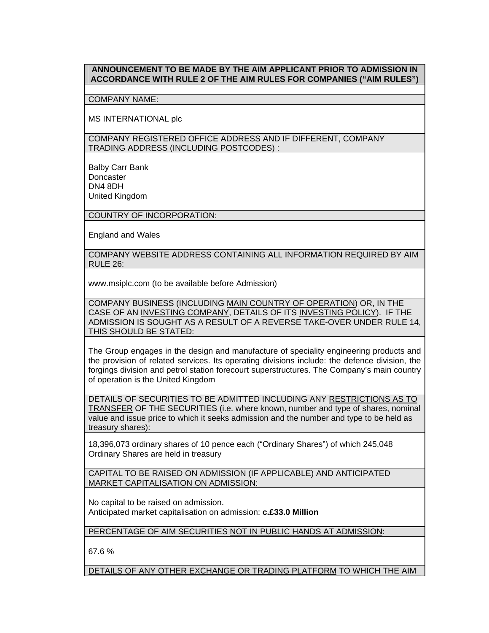## **ANNOUNCEMENT TO BE MADE BY THE AIM APPLICANT PRIOR TO ADMISSION IN ACCORDANCE WITH RULE 2 OF THE AIM RULES FOR COMPANIES ("AIM RULES")**

## COMPANY NAME:

MS INTERNATIONAL plc

COMPANY REGISTERED OFFICE ADDRESS AND IF DIFFERENT, COMPANY TRADING ADDRESS (INCLUDING POSTCODES) :

Balby Carr Bank **Doncaster** DN4 8DH United Kingdom

COUNTRY OF INCORPORATION:

England and Wales

COMPANY WEBSITE ADDRESS CONTAINING ALL INFORMATION REQUIRED BY AIM RULE 26:

www.msiplc.com (to be available before Admission)

COMPANY BUSINESS (INCLUDING MAIN COUNTRY OF OPERATION) OR, IN THE CASE OF AN INVESTING COMPANY, DETAILS OF ITS INVESTING POLICY). IF THE ADMISSION IS SOUGHT AS A RESULT OF A REVERSE TAKE-OVER UNDER RULE 14, THIS SHOULD BE STATED:

The Group engages in the design and manufacture of speciality engineering products and the provision of related services. Its operating divisions include: the defence division, the forgings division and petrol station forecourt superstructures. The Company's main country of operation is the United Kingdom

DETAILS OF SECURITIES TO BE ADMITTED INCLUDING ANY RESTRICTIONS AS TO TRANSFER OF THE SECURITIES (i.e. where known, number and type of shares, nominal value and issue price to which it seeks admission and the number and type to be held as treasury shares):

18,396,073 ordinary shares of 10 pence each ("Ordinary Shares") of which 245,048 Ordinary Shares are held in treasury

CAPITAL TO BE RAISED ON ADMISSION (IF APPLICABLE) AND ANTICIPATED MARKET CAPITALISATION ON ADMISSION:

No capital to be raised on admission. Anticipated market capitalisation on admission: **c.£33.0 Million**

PERCENTAGE OF AIM SECURITIES NOT IN PUBLIC HANDS AT ADMISSION:

67.6 %

DETAILS OF ANY OTHER EXCHANGE OR TRADING PLATFORM TO WHICH THE AIM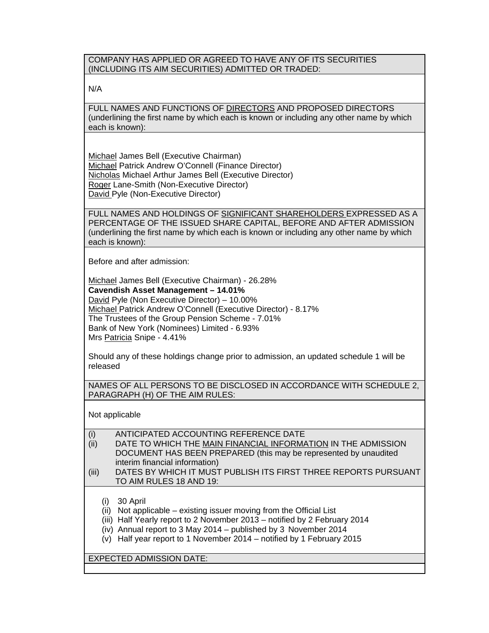COMPANY HAS APPLIED OR AGREED TO HAVE ANY OF ITS SECURITIES (INCLUDING ITS AIM SECURITIES) ADMITTED OR TRADED:

N/A

FULL NAMES AND FUNCTIONS OF DIRECTORS AND PROPOSED DIRECTORS (underlining the first name by which each is known or including any other name by which each is known):

Michael James Bell (Executive Chairman) Michael Patrick Andrew O'Connell (Finance Director) Nicholas Michael Arthur James Bell (Executive Director) Roger Lane-Smith (Non-Executive Director) David Pyle (Non-Executive Director)

FULL NAMES AND HOLDINGS OF SIGNIFICANT SHAREHOLDERS EXPRESSED AS A PERCENTAGE OF THE ISSUED SHARE CAPITAL, BEFORE AND AFTER ADMISSION (underlining the first name by which each is known or including any other name by which each is known):

Before and after admission:

Michael James Bell (Executive Chairman) - 26.28% **Cavendish Asset Management – 14.01%**  David Pyle (Non Executive Director) – 10.00% Michael Patrick Andrew O'Connell (Executive Director) - 8.17% The Trustees of the Group Pension Scheme - 7.01% Bank of New York (Nominees) Limited - 6.93% Mrs Patricia Snipe - 4.41%

Should any of these holdings change prior to admission, an updated schedule 1 will be released

NAMES OF ALL PERSONS TO BE DISCLOSED IN ACCORDANCE WITH SCHEDULE 2, PARAGRAPH (H) OF THE AIM RULES:

Not applicable

| (i)                             | ANTICIPATED ACCOUNTING REFERENCE DATE                                                                                                                                                                                                                                                           |
|---------------------------------|-------------------------------------------------------------------------------------------------------------------------------------------------------------------------------------------------------------------------------------------------------------------------------------------------|
| (ii)                            | DATE TO WHICH THE MAIN FINANCIAL INFORMATION IN THE ADMISSION                                                                                                                                                                                                                                   |
|                                 | DOCUMENT HAS BEEN PREPARED (this may be represented by unaudited                                                                                                                                                                                                                                |
|                                 | interim financial information)                                                                                                                                                                                                                                                                  |
| (iii)                           | DATES BY WHICH IT MUST PUBLISH ITS FIRST THREE REPORTS PURSUANT                                                                                                                                                                                                                                 |
|                                 | TO AIM RULES 18 AND 19:                                                                                                                                                                                                                                                                         |
| (۱)<br>(ii)<br>(V)              | 30 April<br>Not applicable – existing issuer moving from the Official List<br>(iii) Half Yearly report to 2 November 2013 - notified by 2 February 2014<br>(iv) Annual report to 3 May 2014 - published by 3 November 2014<br>Half year report to 1 November 2014 – notified by 1 February 2015 |
| <b>EXPECTED ADMISSION DATE:</b> |                                                                                                                                                                                                                                                                                                 |
|                                 |                                                                                                                                                                                                                                                                                                 |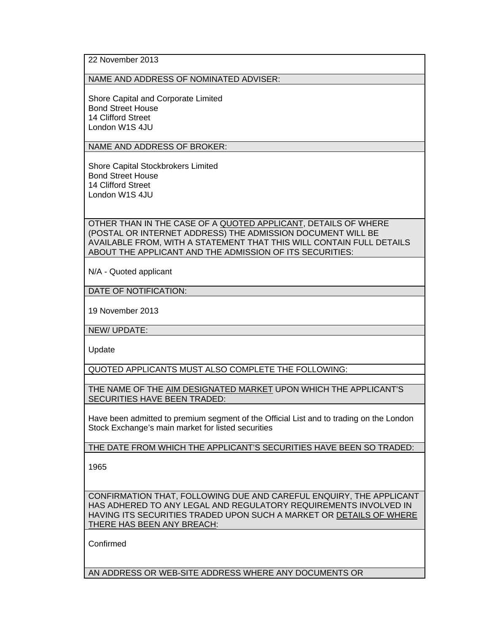## NAME AND ADDRESS OF NOMINATED ADVISER:

Shore Capital and Corporate Limited Bond Street House 14 Clifford Street London W1S 4JU

NAME AND ADDRESS OF BROKER:

Shore Capital Stockbrokers Limited Bond Street House 14 Clifford Street London W1S 4JU

OTHER THAN IN THE CASE OF A QUOTED APPLICANT, DETAILS OF WHERE (POSTAL OR INTERNET ADDRESS) THE ADMISSION DOCUMENT WILL BE AVAILABLE FROM, WITH A STATEMENT THAT THIS WILL CONTAIN FULL DETAILS ABOUT THE APPLICANT AND THE ADMISSION OF ITS SECURITIES:

N/A - Quoted applicant

DATE OF NOTIFICATION:

19 November 2013

NEW/ UPDATE:

Update

QUOTED APPLICANTS MUST ALSO COMPLETE THE FOLLOWING:

THE NAME OF THE AIM DESIGNATED MARKET UPON WHICH THE APPLICANT'S SECURITIES HAVE BEEN TRADED:

Have been admitted to premium segment of the Official List and to trading on the London Stock Exchange's main market for listed securities

THE DATE FROM WHICH THE APPLICANT'S SECURITIES HAVE BEEN SO TRADED:

1965

CONFIRMATION THAT, FOLLOWING DUE AND CAREFUL ENQUIRY, THE APPLICANT HAS ADHERED TO ANY LEGAL AND REGULATORY REQUIREMENTS INVOLVED IN HAVING ITS SECURITIES TRADED UPON SUCH A MARKET OR DETAILS OF WHERE THERE HAS BEEN ANY BREACH:

Confirmed

AN ADDRESS OR WEB-SITE ADDRESS WHERE ANY DOCUMENTS OR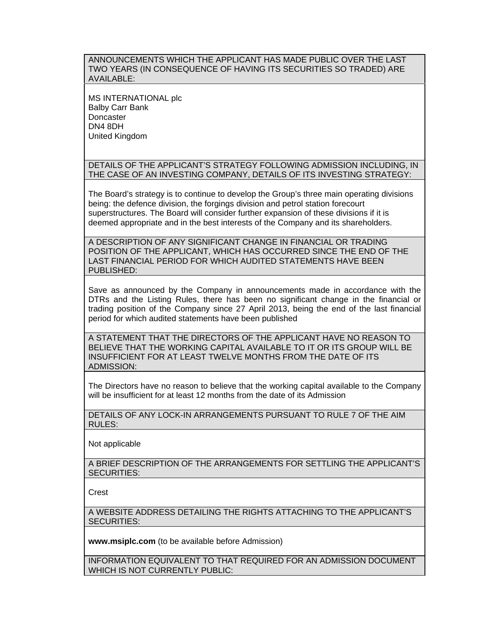ANNOUNCEMENTS WHICH THE APPLICANT HAS MADE PUBLIC OVER THE LAST TWO YEARS (IN CONSEQUENCE OF HAVING ITS SECURITIES SO TRADED) ARE AVAILABLE:

MS INTERNATIONAL plc Balby Carr Bank **Doncaster** DN4 8DH United Kingdom

DETAILS OF THE APPLICANT'S STRATEGY FOLLOWING ADMISSION INCLUDING, IN THE CASE OF AN INVESTING COMPANY, DETAILS OF ITS INVESTING STRATEGY:

The Board's strategy is to continue to develop the Group's three main operating divisions being: the defence division, the forgings division and petrol station forecourt superstructures. The Board will consider further expansion of these divisions if it is deemed appropriate and in the best interests of the Company and its shareholders.

A DESCRIPTION OF ANY SIGNIFICANT CHANGE IN FINANCIAL OR TRADING POSITION OF THE APPLICANT, WHICH HAS OCCURRED SINCE THE END OF THE LAST FINANCIAL PERIOD FOR WHICH AUDITED STATEMENTS HAVE BEEN PUBLISHED:

Save as announced by the Company in announcements made in accordance with the DTRs and the Listing Rules, there has been no significant change in the financial or trading position of the Company since 27 April 2013, being the end of the last financial period for which audited statements have been published

A STATEMENT THAT THE DIRECTORS OF THE APPLICANT HAVE NO REASON TO BELIEVE THAT THE WORKING CAPITAL AVAILABLE TO IT OR ITS GROUP WILL BE INSUFFICIENT FOR AT LEAST TWELVE MONTHS FROM THE DATE OF ITS ADMISSION:

The Directors have no reason to believe that the working capital available to the Company will be insufficient for at least 12 months from the date of its Admission

DETAILS OF ANY LOCK-IN ARRANGEMENTS PURSUANT TO RULE 7 OF THE AIM RULES:

Not applicable

A BRIEF DESCRIPTION OF THE ARRANGEMENTS FOR SETTLING THE APPLICANT'S SECURITIES:

Crest

A WEBSITE ADDRESS DETAILING THE RIGHTS ATTACHING TO THE APPLICANT'S SECURITIES:

**www.msiplc.com** (to be available before Admission)

INFORMATION EQUIVALENT TO THAT REQUIRED FOR AN ADMISSION DOCUMENT WHICH IS NOT CURRENTLY PUBLIC: